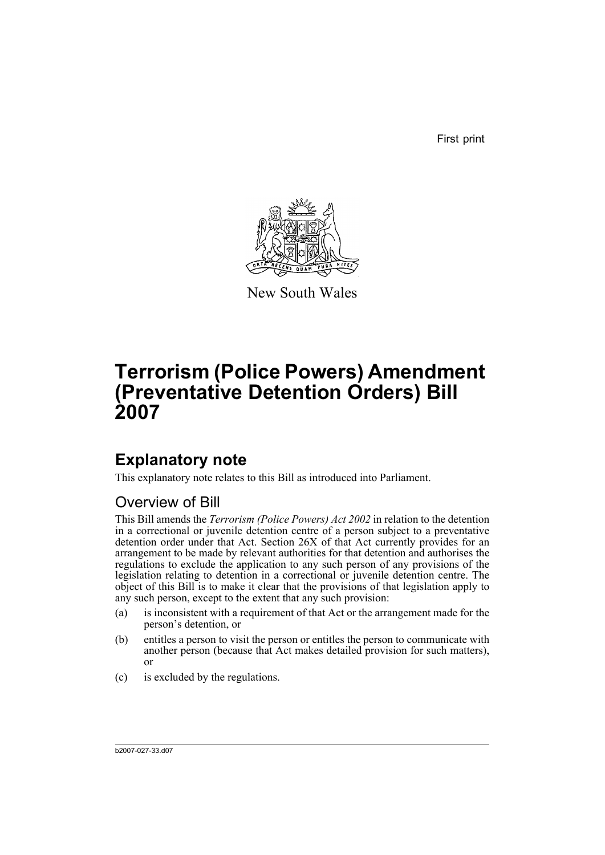First print



New South Wales

# **Terrorism (Police Powers) Amendment (Preventative Detention Orders) Bill 2007**

# **Explanatory note**

This explanatory note relates to this Bill as introduced into Parliament.

## Overview of Bill

This Bill amends the *Terrorism (Police Powers) Act 2002* in relation to the detention in a correctional or juvenile detention centre of a person subject to a preventative detention order under that Act. Section 26X of that Act currently provides for an arrangement to be made by relevant authorities for that detention and authorises the regulations to exclude the application to any such person of any provisions of the legislation relating to detention in a correctional or juvenile detention centre. The object of this Bill is to make it clear that the provisions of that legislation apply to any such person, except to the extent that any such provision:

- (a) is inconsistent with a requirement of that Act or the arrangement made for the person's detention, or
- (b) entitles a person to visit the person or entitles the person to communicate with another person (because that Act makes detailed provision for such matters), or
- (c) is excluded by the regulations.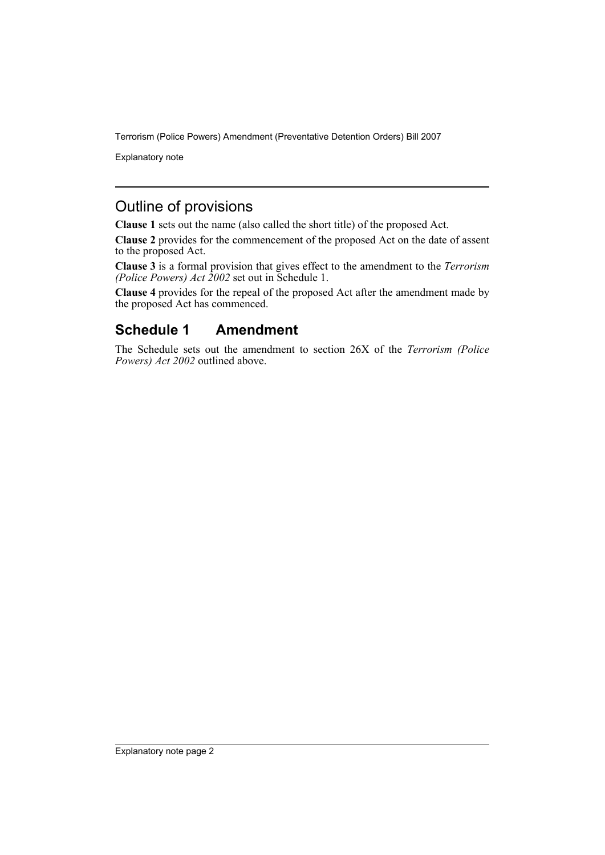Terrorism (Police Powers) Amendment (Preventative Detention Orders) Bill 2007

Explanatory note

#### Outline of provisions

**Clause 1** sets out the name (also called the short title) of the proposed Act.

**Clause 2** provides for the commencement of the proposed Act on the date of assent to the proposed Act.

**Clause 3** is a formal provision that gives effect to the amendment to the *Terrorism (Police Powers) Act 2002* set out in Schedule 1.

**Clause 4** provides for the repeal of the proposed Act after the amendment made by the proposed Act has commenced.

## **Schedule 1 Amendment**

The Schedule sets out the amendment to section 26X of the *Terrorism (Police Powers) Act 2002* outlined above.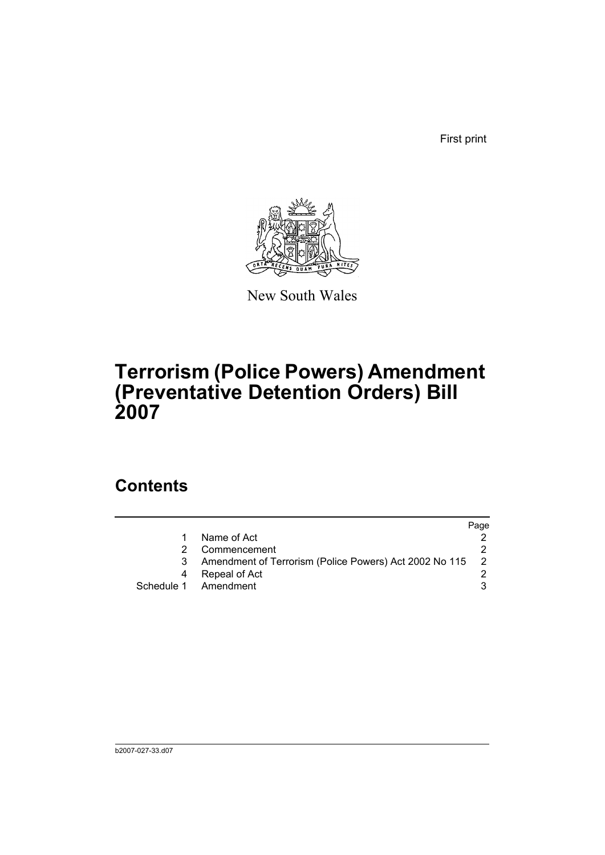First print



New South Wales

# **Terrorism (Police Powers) Amendment (Preventative Detention Orders) Bill 2007**

## **Contents**

|                                                        | Page |
|--------------------------------------------------------|------|
| Name of Act                                            |      |
| Commencement                                           |      |
| Amendment of Terrorism (Police Powers) Act 2002 No 115 | - 2  |
| Repeal of Act                                          |      |
| Schedule 1 Amendment                                   |      |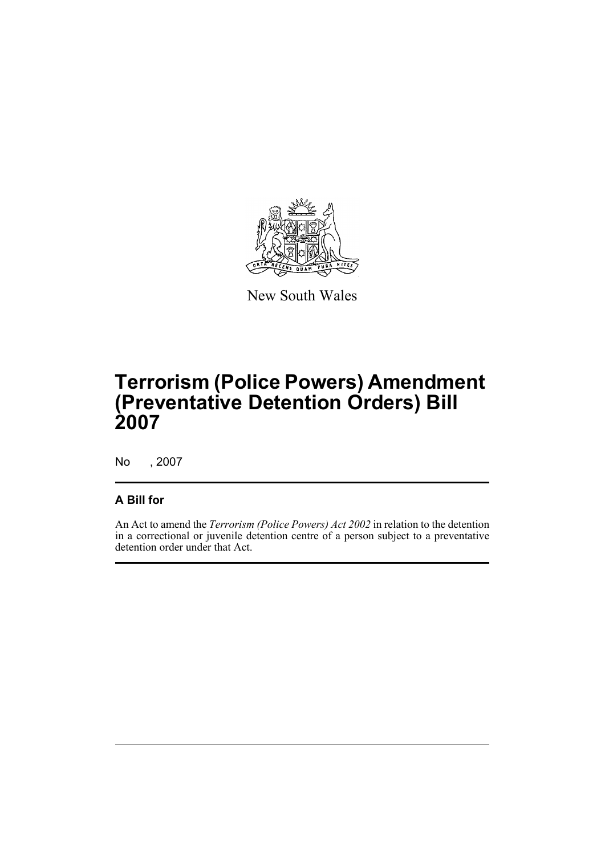

New South Wales

# **Terrorism (Police Powers) Amendment (Preventative Detention Orders) Bill 2007**

No , 2007

#### **A Bill for**

An Act to amend the *Terrorism (Police Powers) Act 2002* in relation to the detention in a correctional or juvenile detention centre of a person subject to a preventative detention order under that Act.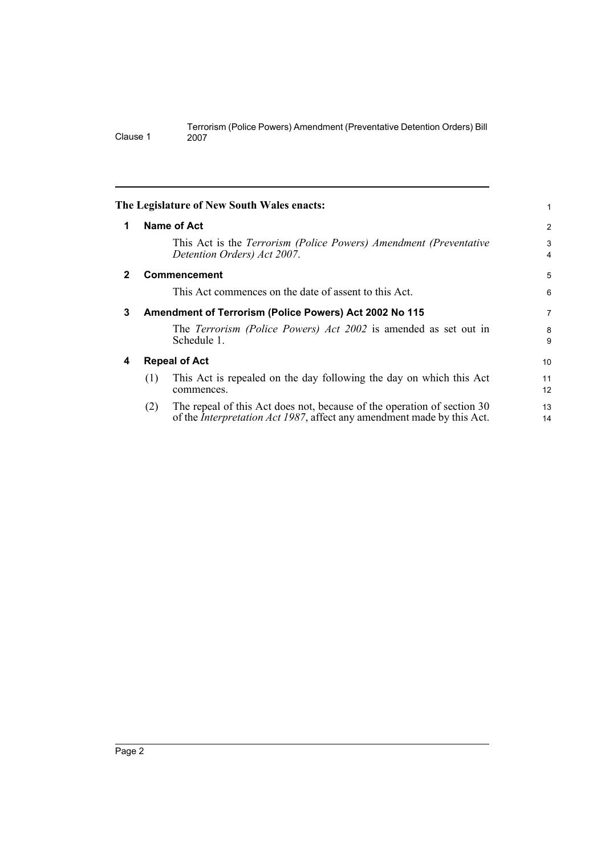<span id="page-5-3"></span><span id="page-5-2"></span><span id="page-5-1"></span><span id="page-5-0"></span>

|              |     | The Legislature of New South Wales enacts:                                                                                                                |                     |
|--------------|-----|-----------------------------------------------------------------------------------------------------------------------------------------------------------|---------------------|
| 1            |     | Name of Act                                                                                                                                               | $\overline{2}$      |
|              |     | This Act is the Terrorism (Police Powers) Amendment (Preventative<br>Detention Orders) Act 2007.                                                          | 3<br>$\overline{4}$ |
| $\mathbf{2}$ |     | Commencement                                                                                                                                              | 5                   |
|              |     | This Act commences on the date of assent to this Act.                                                                                                     | 6                   |
| 3            |     | Amendment of Terrorism (Police Powers) Act 2002 No 115                                                                                                    | $\overline{7}$      |
|              |     | The Terrorism (Police Powers) Act 2002 is amended as set out in<br>Schedule 1.                                                                            | 8<br>9              |
| 4            |     | <b>Repeal of Act</b>                                                                                                                                      | 10                  |
|              | (1) | This Act is repealed on the day following the day on which this Act<br>commences.                                                                         | 11<br>12            |
|              | (2) | The repeal of this Act does not, because of the operation of section 30<br>of the <i>Interpretation Act 1987</i> , affect any amendment made by this Act. | 13<br>14            |

Clause 1